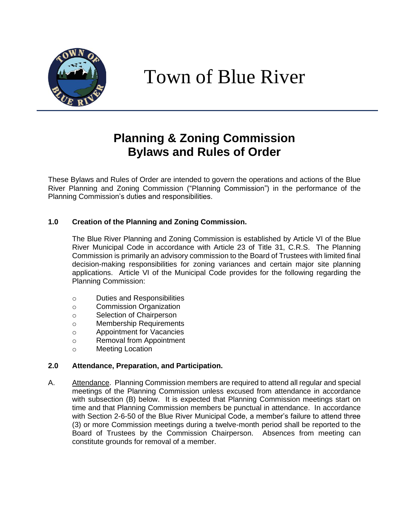

# Town of Blue River

# **Planning & Zoning Commission Bylaws and Rules of Order**

These Bylaws and Rules of Order are intended to govern the operations and actions of the Blue River Planning and Zoning Commission ("Planning Commission") in the performance of the Planning Commission's duties and responsibilities.

## **1.0 Creation of the Planning and Zoning Commission.**

The Blue River Planning and Zoning Commission is established by Article VI of the Blue River Municipal Code in accordance with Article 23 of Title 31, C.R.S. The Planning Commission is primarily an advisory commission to the Board of Trustees with limited final decision-making responsibilities for zoning variances and certain major site planning applications. Article VI of the Municipal Code provides for the following regarding the Planning Commission:

- o Duties and Responsibilities
- o Commission Organization
- o Selection of Chairperson
- o Membership Requirements
- o Appointment for Vacancies
- o Removal from Appointment
- o Meeting Location

#### **2.0 Attendance, Preparation, and Participation.**

A. Attendance. Planning Commission members are required to attend all regular and special meetings of the Planning Commission unless excused from attendance in accordance with subsection (B) below. It is expected that Planning Commission meetings start on time and that Planning Commission members be punctual in attendance. In accordance with Section 2-6-50 of the Blue River Municipal Code, a member's failure to attend three (3) or more Commission meetings during a twelve-month period shall be reported to the Board of Trustees by the Commission Chairperson. Absences from meeting can constitute grounds for removal of a member.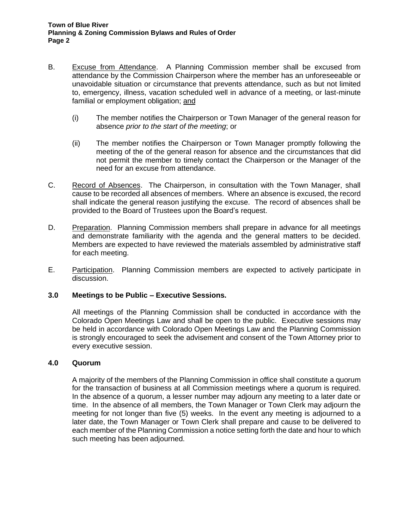- B. Excuse from Attendance. A Planning Commission member shall be excused from attendance by the Commission Chairperson where the member has an unforeseeable or unavoidable situation or circumstance that prevents attendance, such as but not limited to, emergency, illness, vacation scheduled well in advance of a meeting, or last-minute familial or employment obligation; and
	- (i) The member notifies the Chairperson or Town Manager of the general reason for absence *prior to the start of the meeting*; or
	- (ii) The member notifies the Chairperson or Town Manager promptly following the meeting of the of the general reason for absence and the circumstances that did not permit the member to timely contact the Chairperson or the Manager of the need for an excuse from attendance.
- C. Record of Absences. The Chairperson, in consultation with the Town Manager, shall cause to be recorded all absences of members. Where an absence is excused, the record shall indicate the general reason justifying the excuse. The record of absences shall be provided to the Board of Trustees upon the Board's request.
- D. Preparation. Planning Commission members shall prepare in advance for all meetings and demonstrate familiarity with the agenda and the general matters to be decided. Members are expected to have reviewed the materials assembled by administrative staff for each meeting.
- E. Participation. Planning Commission members are expected to actively participate in discussion.

#### **3.0 Meetings to be Public – Executive Sessions.**

All meetings of the Planning Commission shall be conducted in accordance with the Colorado Open Meetings Law and shall be open to the public. Executive sessions may be held in accordance with Colorado Open Meetings Law and the Planning Commission is strongly encouraged to seek the advisement and consent of the Town Attorney prior to every executive session.

#### **4.0 Quorum**

A majority of the members of the Planning Commission in office shall constitute a quorum for the transaction of business at all Commission meetings where a quorum is required. In the absence of a quorum, a lesser number may adjourn any meeting to a later date or time. In the absence of all members, the Town Manager or Town Clerk may adjourn the meeting for not longer than five (5) weeks. In the event any meeting is adjourned to a later date, the Town Manager or Town Clerk shall prepare and cause to be delivered to each member of the Planning Commission a notice setting forth the date and hour to which such meeting has been adjourned.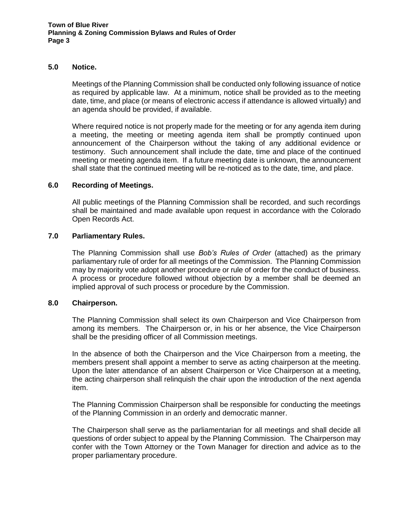#### **5.0 Notice.**

Meetings of the Planning Commission shall be conducted only following issuance of notice as required by applicable law. At a minimum, notice shall be provided as to the meeting date, time, and place (or means of electronic access if attendance is allowed virtually) and an agenda should be provided, if available.

Where required notice is not properly made for the meeting or for any agenda item during a meeting, the meeting or meeting agenda item shall be promptly continued upon announcement of the Chairperson without the taking of any additional evidence or testimony. Such announcement shall include the date, time and place of the continued meeting or meeting agenda item. If a future meeting date is unknown, the announcement shall state that the continued meeting will be re-noticed as to the date, time, and place.

#### **6.0 Recording of Meetings.**

All public meetings of the Planning Commission shall be recorded, and such recordings shall be maintained and made available upon request in accordance with the Colorado Open Records Act.

#### **7.0 Parliamentary Rules.**

The Planning Commission shall use *Bob's Rules of Order* (attached) as the primary parliamentary rule of order for all meetings of the Commission. The Planning Commission may by majority vote adopt another procedure or rule of order for the conduct of business. A process or procedure followed without objection by a member shall be deemed an implied approval of such process or procedure by the Commission.

#### **8.0 Chairperson.**

The Planning Commission shall select its own Chairperson and Vice Chairperson from among its members. The Chairperson or, in his or her absence, the Vice Chairperson shall be the presiding officer of all Commission meetings.

In the absence of both the Chairperson and the Vice Chairperson from a meeting, the members present shall appoint a member to serve as acting chairperson at the meeting. Upon the later attendance of an absent Chairperson or Vice Chairperson at a meeting, the acting chairperson shall relinquish the chair upon the introduction of the next agenda item.

The Planning Commission Chairperson shall be responsible for conducting the meetings of the Planning Commission in an orderly and democratic manner.

The Chairperson shall serve as the parliamentarian for all meetings and shall decide all questions of order subject to appeal by the Planning Commission. The Chairperson may confer with the Town Attorney or the Town Manager for direction and advice as to the proper parliamentary procedure.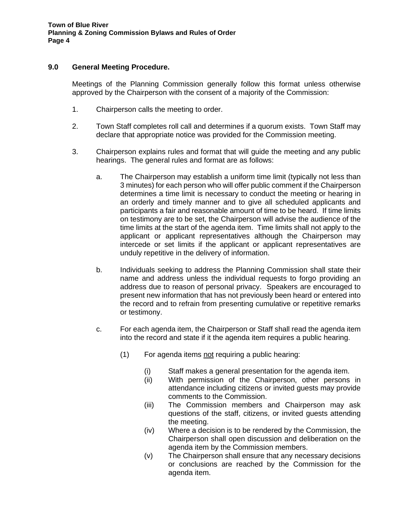#### **9.0 General Meeting Procedure.**

Meetings of the Planning Commission generally follow this format unless otherwise approved by the Chairperson with the consent of a majority of the Commission:

- 1. Chairperson calls the meeting to order.
- 2. Town Staff completes roll call and determines if a quorum exists. Town Staff may declare that appropriate notice was provided for the Commission meeting.
- 3. Chairperson explains rules and format that will guide the meeting and any public hearings. The general rules and format are as follows:
	- a. The Chairperson may establish a uniform time limit (typically not less than 3 minutes) for each person who will offer public comment if the Chairperson determines a time limit is necessary to conduct the meeting or hearing in an orderly and timely manner and to give all scheduled applicants and participants a fair and reasonable amount of time to be heard. If time limits on testimony are to be set, the Chairperson will advise the audience of the time limits at the start of the agenda item. Time limits shall not apply to the applicant or applicant representatives although the Chairperson may intercede or set limits if the applicant or applicant representatives are unduly repetitive in the delivery of information.
	- b. Individuals seeking to address the Planning Commission shall state their name and address unless the individual requests to forgo providing an address due to reason of personal privacy. Speakers are encouraged to present new information that has not previously been heard or entered into the record and to refrain from presenting cumulative or repetitive remarks or testimony.
	- c. For each agenda item, the Chairperson or Staff shall read the agenda item into the record and state if it the agenda item requires a public hearing.
		- (1) For agenda items not requiring a public hearing:
			- (i) Staff makes a general presentation for the agenda item.
			- (ii) With permission of the Chairperson, other persons in attendance including citizens or invited guests may provide comments to the Commission.
			- (iii) The Commission members and Chairperson may ask questions of the staff, citizens, or invited guests attending the meeting.
			- (iv) Where a decision is to be rendered by the Commission, the Chairperson shall open discussion and deliberation on the agenda item by the Commission members.
			- (v) The Chairperson shall ensure that any necessary decisions or conclusions are reached by the Commission for the agenda item.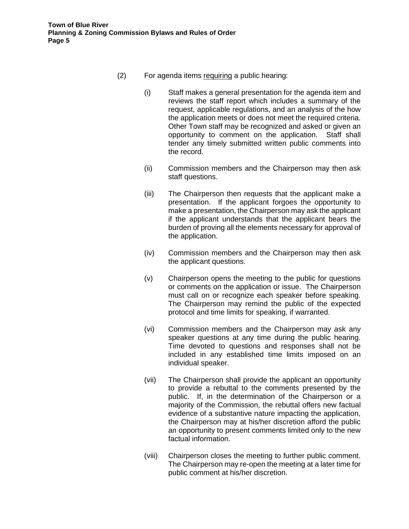- (2) For agenda items requiring a public hearing:
	- (i) Staff makes a general presentation for the agenda item and reviews the staff report which includes a summary of the request, applicable regulations, and an analysis of the how the application meets or does not meet the required criteria. Other Town staff may be recognized and asked or given an opportunity to comment on the application. Staff shall tender any timely submitted written public comments into the record.
	- (ii) Commission members and the Chairperson may then ask staff questions.
	- (iii) The Chairperson then requests that the applicant make a presentation. If the applicant forgoes the opportunity to make a presentation, the Chairperson may ask the applicant if the applicant understands that the applicant bears the burden of proving all the elements necessary for approval of the application.
	- (iv) Commission members and the Chairperson may then ask the applicant questions.
	- (v) Chairperson opens the meeting to the public for questions or comments on the application or issue. The Chairperson must call on or recognize each speaker before speaking. The Chairperson may remind the public of the expected protocol and time limits for speaking, if warranted.
	- (vi) Commission members and the Chairperson may ask any speaker questions at any time during the public hearing. Time devoted to questions and responses shall not be included in any established time limits imposed on an individual speaker.
	- (vii) The Chairperson shall provide the applicant an opportunity to provide a rebuttal to the comments presented by the public. If, in the determination of the Chairperson or a majority of the Commission, the rebuttal offers new factual evidence of a substantive nature impacting the application, the Chairperson may at his/her discretion afford the public an opportunity to present comments limited only to the new factual information.
	- (viii) Chairperson closes the meeting to further public comment. The Chairperson may re-open the meeting at a later time for public comment at his/her discretion.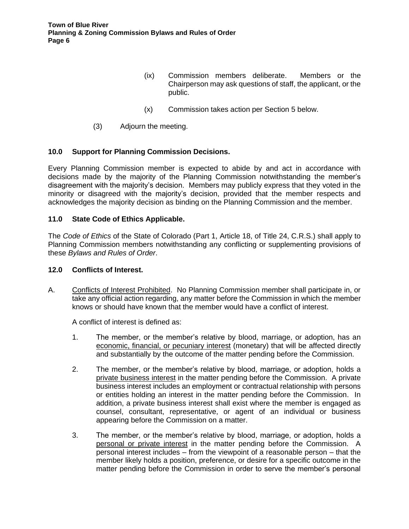- (ix) Commission members deliberate. Members or the Chairperson may ask questions of staff, the applicant, or the public.
- (x) Commission takes action per Section 5 below.
- (3) Adjourn the meeting.

#### **10.0 Support for Planning Commission Decisions.**

Every Planning Commission member is expected to abide by and act in accordance with decisions made by the majority of the Planning Commission notwithstanding the member's disagreement with the majority's decision. Members may publicly express that they voted in the minority or disagreed with the majority's decision, provided that the member respects and acknowledges the majority decision as binding on the Planning Commission and the member.

#### **11.0 State Code of Ethics Applicable.**

The *Code of Ethics* of the State of Colorado (Part 1, Article 18, of Title 24, C.R.S.) shall apply to Planning Commission members notwithstanding any conflicting or supplementing provisions of these *Bylaws and Rules of Order*.

#### **12.0 Conflicts of Interest.**

A. Conflicts of Interest Prohibited. No Planning Commission member shall participate in, or take any official action regarding, any matter before the Commission in which the member knows or should have known that the member would have a conflict of interest.

A conflict of interest is defined as:

- 1. The member, or the member's relative by blood, marriage, or adoption, has an economic, financial, or pecuniary interest (monetary) that will be affected directly and substantially by the outcome of the matter pending before the Commission.
- 2. The member, or the member's relative by blood, marriage, or adoption, holds a private business interest in the matter pending before the Commission. A private business interest includes an employment or contractual relationship with persons or entities holding an interest in the matter pending before the Commission. In addition, a private business interest shall exist where the member is engaged as counsel, consultant, representative, or agent of an individual or business appearing before the Commission on a matter.
- 3. The member, or the member's relative by blood, marriage, or adoption, holds a personal or private interest in the matter pending before the Commission. A personal interest includes – from the viewpoint of a reasonable person – that the member likely holds a position, preference, or desire for a specific outcome in the matter pending before the Commission in order to serve the member's personal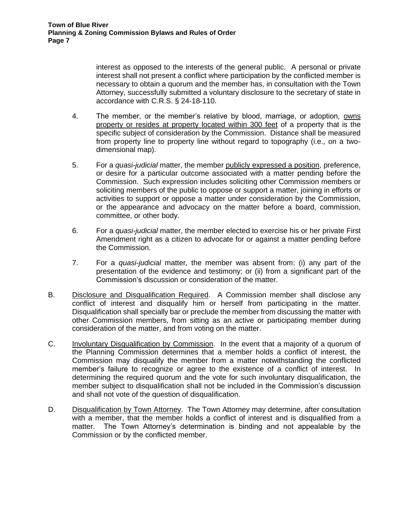interest as opposed to the interests of the general public. A personal or private interest shall not present a conflict where participation by the conflicted member is necessary to obtain a quorum and the member has, in consultation with the Town Attorney, successfully submitted a voluntary disclosure to the secretary of state in accordance with C.R.S. § 24-18-110.

- 4. The member, or the member's relative by blood, marriage, or adoption, owns property or resides at property located within 300 feet of a property that is the specific subject of consideration by the Commission. Distance shall be measured from property line to property line without regard to topography (i.e., on a twodimensional map).
- 5. For a *quasi-judicial* matter, the member publicly expressed a position, preference, or desire for a particular outcome associated with a matter pending before the Commission. Such expression includes soliciting other Commission members or soliciting members of the public to oppose or support a matter, joining in efforts or activities to support or oppose a matter under consideration by the Commission, or the appearance and advocacy on the matter before a board, commission, committee, or other body.
- 6. For a *quasi-judicial* matter, the member elected to exercise his or her private First Amendment right as a citizen to advocate for or against a matter pending before the Commission.
- 7. For a *quasi-judicial* matter, the member was absent from: (i) any part of the presentation of the evidence and testimony; or (ii) from a significant part of the Commission's discussion or consideration of the matter.
- B. Disclosure and Disqualification Required. A Commission member shall disclose any conflict of interest and disqualify him or herself from participating in the matter. Disqualification shall specially bar or preclude the member from discussing the matter with other Commission members, from sitting as an active or participating member during consideration of the matter, and from voting on the matter.
- C. Involuntary Disqualification by Commission. In the event that a majority of a quorum of the Planning Commission determines that a member holds a conflict of interest, the Commission may disqualify the member from a matter notwithstanding the conflicted member's failure to recognize or agree to the existence of a conflict of interest. In determining the required quorum and the vote for such involuntary disqualification, the member subject to disqualification shall not be included in the Commission's discussion and shall not vote of the question of disqualification.
- D. Disqualification by Town Attorney. The Town Attorney may determine, after consultation with a member, that the member holds a conflict of interest and is disqualified from a matter. The Town Attorney's determination is binding and not appealable by the Commission or by the conflicted member.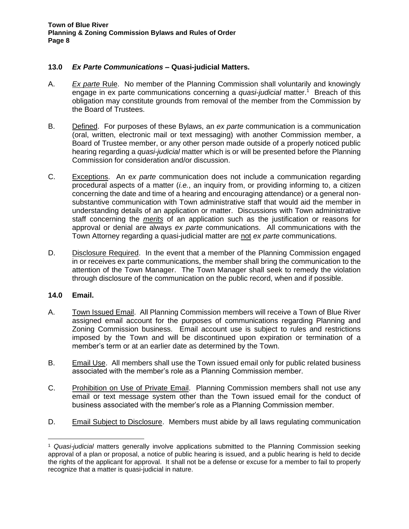#### **13.0** *Ex Parte Communications* **– Quasi-judicial Matters.**

- A. *Ex parte* Rule. No member of the Planning Commission shall voluntarily and knowingly engage in ex parte communications concerning a *quasi-judicial* matter.<sup>1</sup> Breach of this obligation may constitute grounds from removal of the member from the Commission by the Board of Trustees.
- B. Defined. For purposes of these Bylaws, an *ex parte* communication is a communication (oral, written, electronic mail or text messaging) with another Commission member, a Board of Trustee member, or any other person made outside of a properly noticed public hearing regarding a *quasi-judicial* matter which is or will be presented before the Planning Commission for consideration and/or discussion.
- C. Exceptions. An e*x parte* communication does not include a communication regarding procedural aspects of a matter (*i.e.*, an inquiry from, or providing informing to, a citizen concerning the date and time of a hearing and encouraging attendance) or a general nonsubstantive communication with Town administrative staff that would aid the member in understanding details of an application or matter. Discussions with Town administrative staff concerning the *merits* of an application such as the justification or reasons for approval or denial are always *ex parte* communications. All communications with the Town Attorney regarding a quasi-judicial matter are not *ex parte* communications.
- D. Disclosure Required. In the event that a member of the Planning Commission engaged in or receives ex parte communications, the member shall bring the communication to the attention of the Town Manager. The Town Manager shall seek to remedy the violation through disclosure of the communication on the public record, when and if possible.

#### **14.0 Email.**

- A. Town Issued Email. All Planning Commission members will receive a Town of Blue River assigned email account for the purposes of communications regarding Planning and Zoning Commission business. Email account use is subject to rules and restrictions imposed by the Town and will be discontinued upon expiration or termination of a member's term or at an earlier date as determined by the Town.
- B. Email Use. All members shall use the Town issued email only for public related business associated with the member's role as a Planning Commission member.
- C. Prohibition on Use of Private Email. Planning Commission members shall not use any email or text message system other than the Town issued email for the conduct of business associated with the member's role as a Planning Commission member.
- D. Email Subject to Disclosure. Members must abide by all laws regulating communication

<sup>1</sup> *Quasi-judicial* matters generally involve applications submitted to the Planning Commission seeking approval of a plan or proposal, a notice of public hearing is issued, and a public hearing is held to decide the rights of the applicant for approval. It shall not be a defense or excuse for a member to fail to properly recognize that a matter is quasi-judicial in nature.